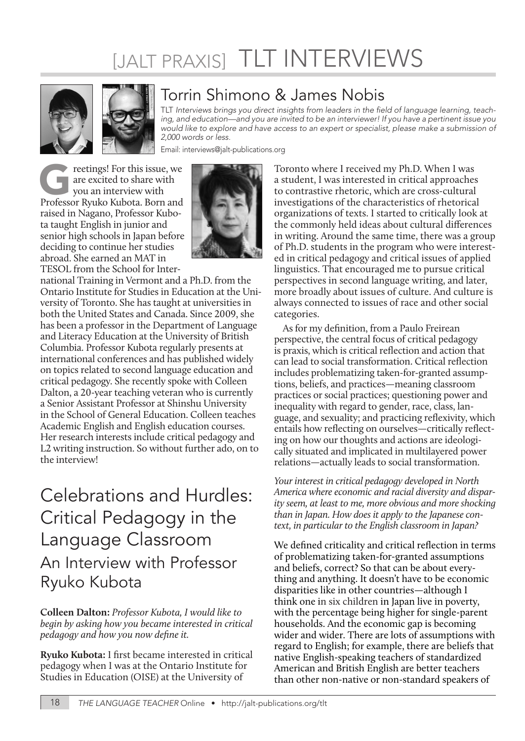## [JALT PRAXIS] TLT INTERVIEWS





## Torrin Shimono & James Nobis

TLT Interviews brings you direct insights from leaders in the field of language learning, teaching, and education—and you are invited to be an interviewer! If you have a pertinent issue you would like to explore and have access to an expert or specialist, please make a submission of 2,000 words or less.

Email: interviews@jalt-publications.org

For this issue, we are excited to share with you an interview with Professor Ryuko Kubota. Born and are excited to share with you an interview with raised in Nagano, Professor Kubota taught English in junior and senior high schools in Japan before deciding to continue her studies abroad. She earned an MAT in TESOL from the School for Inter-



national Training in Vermont and a Ph.D. from the Ontario Institute for Studies in Education at the University of Toronto. She has taught at universities in both the United States and Canada. Since 2009, she has been a professor in the Department of Language and Literacy Education at the University of British Columbia. Professor Kubota regularly presents at international conferences and has published widely on topics related to second language education and critical pedagogy. She recently spoke with Colleen Dalton, a 20-year teaching veteran who is currently a Senior Assistant Professor at Shinshu University in the School of General Education. Colleen teaches Academic English and English education courses. Her research interests include critical pedagogy and L2 writing instruction. So without further ado, on to the interview!

## Celebrations and Hurdles: Critical Pedagogy in the Language Classroom An Interview with Professor Ryuko Kubota

**Colleen Dalton:** *Professor Kubota, I would like to begin by asking how you became interested in critical pedagogy and how you now define it.*

**Ryuko Kubota:** I first became interested in critical pedagogy when I was at the Ontario Institute for Studies in Education (OISE) at the University of

Toronto where I received my Ph.D. When I was a student, I was interested in critical approaches to contrastive rhetoric, which are cross-cultural investigations of the characteristics of rhetorical organizations of texts. I started to critically look at the commonly held ideas about cultural differences in writing. Around the same time, there was a group of Ph.D. students in the program who were interested in critical pedagogy and critical issues of applied linguistics. That encouraged me to pursue critical perspectives in second language writing, and later, more broadly about issues of culture. And culture is always connected to issues of race and other social categories.

As for my definition, from a Paulo Freirean perspective, the central focus of critical pedagogy is praxis, which is critical reflection and action that can lead to social transformation. Critical reflection includes problematizing taken-for-granted assumptions, beliefs, and practices—meaning classroom practices or social practices; questioning power and inequality with regard to gender, race, class, language, and sexuality; and practicing reflexivity, which entails how reflecting on ourselves—critically reflecting on how our thoughts and actions are ideologically situated and implicated in multilayered power relations—actually leads to social transformation.

*Your interest in critical pedagogy developed in North America where economic and racial diversity and disparity seem, at least to me, more obvious and more shocking than in Japan. How does it apply to the Japanese context, in particular to the English classroom in Japan?*

We defined criticality and critical reflection in terms of problematizing taken-for-granted assumptions and beliefs, correct? So that can be about everything and anything. It doesn't have to be economic disparities like in other countries—although I think one in six children in Japan live in poverty, with the percentage being higher for single-parent households. And the economic gap is becoming wider and wider. There are lots of assumptions with regard to English; for example, there are beliefs that native English-speaking teachers of standardized American and British English are better teachers than other non-native or non-standard speakers of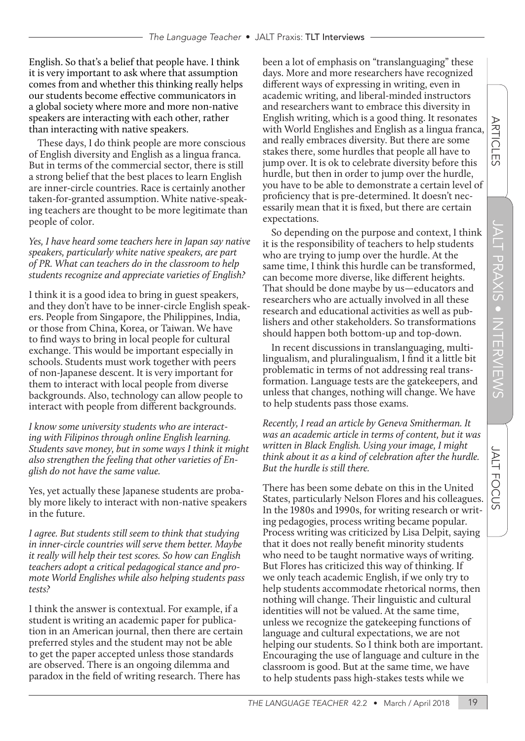English. So that's a belief that people have. I think it is very important to ask where that assumption comes from and whether this thinking really helps our students become effective communicators in a global society where more and more non-native speakers are interacting with each other, rather than interacting with native speakers.

These days, I do think people are more conscious of English diversity and English as a lingua franca. But in terms of the commercial sector, there is still a strong belief that the best places to learn English are inner-circle countries. Race is certainly another taken-for-granted assumption. White native-speaking teachers are thought to be more legitimate than people of color.

*Yes, I have heard some teachers here in Japan say native speakers, particularly white native speakers, are part of PR. What can teachers do in the classroom to help students recognize and appreciate varieties of English?*

I think it is a good idea to bring in guest speakers, and they don't have to be inner-circle English speakers. People from Singapore, the Philippines, India, or those from China, Korea, or Taiwan. We have to find ways to bring in local people for cultural exchange. This would be important especially in schools. Students must work together with peers of non-Japanese descent. It is very important for them to interact with local people from diverse backgrounds. Also, technology can allow people to interact with people from different backgrounds.

*I know some university students who are interacting with Filipinos through online English learning. Students save money, but in some ways I think it might also strengthen the feeling that other varieties of English do not have the same value.*

Yes, yet actually these Japanese students are probably more likely to interact with non-native speakers in the future.

*I agree. But students still seem to think that studying in inner-circle countries will serve them better. Maybe it really will help their test scores. So how can English teachers adopt a critical pedagogical stance and promote World Englishes while also helping students pass tests?*

I think the answer is contextual. For example, if a student is writing an academic paper for publication in an American journal, then there are certain preferred styles and the student may not be able to get the paper accepted unless those standards are observed. There is an ongoing dilemma and paradox in the field of writing research. There has

been a lot of emphasis on "translanguaging" these days. More and more researchers have recognized different ways of expressing in writing, even in academic writing, and liberal-minded instructors and researchers want to embrace this diversity in English writing, which is a good thing. It resonates with World Englishes and English as a lingua franca, and really embraces diversity. But there are some stakes there, some hurdles that people all have to jump over. It is ok to celebrate diversity before this hurdle, but then in order to jump over the hurdle, you have to be able to demonstrate a certain level of proficiency that is pre-determined. It doesn't necessarily mean that it is fixed, but there are certain expectations.

So depending on the purpose and context, I think it is the responsibility of teachers to help students who are trying to jump over the hurdle. At the same time, I think this hurdle can be transformed, can become more diverse, like different heights. That should be done maybe by us—educators and researchers who are actually involved in all these research and educational activities as well as publishers and other stakeholders. So transformations should happen both bottom-up and top-down.

In recent discussions in translanguaging, multilingualism, and pluralingualism, I find it a little bit problematic in terms of not addressing real transformation. Language tests are the gatekeepers, and unless that changes, nothing will change. We have to help students pass those exams.

*Recently, I read an article by Geneva Smitherman. It was an academic article in terms of content, but it was written in Black English. Using your image, I might think about it as a kind of celebration after the hurdle. But the hurdle is still there.*

There has been some debate on this in the United States, particularly Nelson Flores and his colleagues. In the 1980s and 1990s, for writing research or writing pedagogies, process writing became popular. Process writing was criticized by Lisa Delpit, saying that it does not really benefit minority students who need to be taught normative ways of writing. But Flores has criticized this way of thinking. If we only teach academic English, if we only try to help students accommodate rhetorical norms, then nothing will change. Their linguistic and cultural identities will not be valued. At the same time, unless we recognize the gatekeeping functions of language and cultural expectations, we are not helping our students. So I think both are important. Encouraging the use of language and culture in the classroom is good. But at the same time, we have to help students pass high-stakes tests while we

JALT

**FOCUS** 

**ARTICLES**